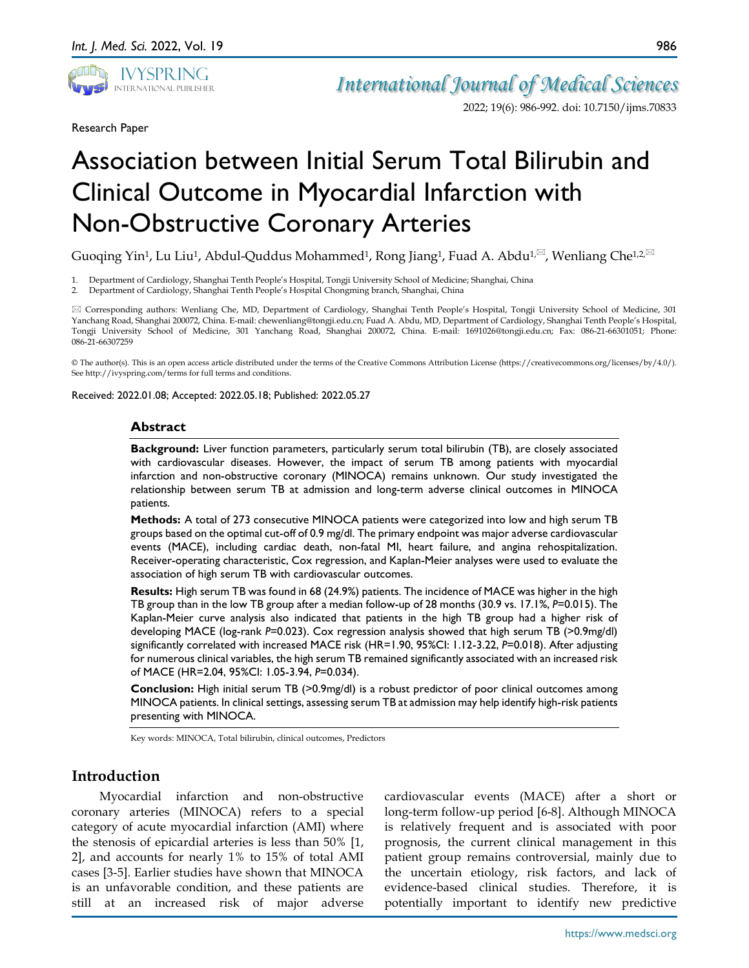

2022; 19(6): 986-992. doi: 10.7150/ijms.70833

Research Paper

# Association between Initial Serum Total Bilirubin and Clinical Outcome in Myocardial Infarction with Non-Obstructive Coronary Arteries

Guoqing Yin<sup>1</sup>, Lu Liu<sup>1</sup>, Abdul-Quddus Mohammed<sup>1</sup>, Rong Jiang<sup>1</sup>, Fuad A. Abdu<sup>1, $\boxtimes$ </sup>, Wenliang Che<sup>1,2, $\boxtimes$ </sup>

- 1. Department of Cardiology, Shanghai Tenth People's Hospital, Tongji University School of Medicine; Shanghai, China
- 2. Department of Cardiology, Shanghai Tenth People's Hospital Chongming branch, Shanghai, China

 Corresponding authors: Wenliang Che, MD, Department of Cardiology, Shanghai Tenth People's Hospital, Tongji University School of Medicine, 301 Yanchang Road, Shanghai 200072, China. E-mail: chewenliang@tongji.edu.cn; Fuad A. Abdu, MD, Department of Cardiology, Shanghai Tenth People's Hospital, Tongji University School of Medicine, 301 Yanchang Road, Shanghai 200072, China. E-mail: 1691026@tongji.edu.cn; Fax: 086-21-66301051; Phone: 086-21-66307259

© The author(s). This is an open access article distributed under the terms of the Creative Commons Attribution License (https://creativecommons.org/licenses/by/4.0/). See http://ivyspring.com/terms for full terms and conditions.

Received: 2022.01.08; Accepted: 2022.05.18; Published: 2022.05.27

#### **Abstract**

**Background:** Liver function parameters, particularly serum total bilirubin (TB), are closely associated with cardiovascular diseases. However, the impact of serum TB among patients with myocardial infarction and non-obstructive coronary (MINOCA) remains unknown. Our study investigated the relationship between serum TB at admission and long-term adverse clinical outcomes in MINOCA patients.

**Methods:** A total of 273 consecutive MINOCA patients were categorized into low and high serum TB groups based on the optimal cut-off of 0.9 mg/dl. The primary endpoint was major adverse cardiovascular events (MACE), including cardiac death, non-fatal MI, heart failure, and angina rehospitalization. Receiver-operating characteristic, Cox regression, and Kaplan-Meier analyses were used to evaluate the association of high serum TB with cardiovascular outcomes.

**Results:** High serum TB was found in 68 (24.9%) patients. The incidence of MACE was higher in the high TB group than in the low TB group after a median follow-up of 28 months (30.9 vs. 17.1%, *P*=0.015). The Kaplan-Meier curve analysis also indicated that patients in the high TB group had a higher risk of developing MACE (log-rank *P*=0.023). Cox regression analysis showed that high serum TB (>0.9mg/dl) significantly correlated with increased MACE risk (HR=1.90, 95%CI: 1.12-3.22, *P*=0.018). After adjusting for numerous clinical variables, the high serum TB remained significantly associated with an increased risk of MACE (HR=2.04, 95%CI: 1.05-3.94, *P*=0.034).

**Conclusion:** High initial serum TB (>0.9mg/dl) is a robust predictor of poor clinical outcomes among MINOCA patients. In clinical settings, assessing serum TB at admission may help identify high-risk patients presenting with MINOCA.

Key words: MINOCA, Total bilirubin, clinical outcomes, Predictors

## **Introduction**

Myocardial infarction and non-obstructive coronary arteries (MINOCA) refers to a special category of acute myocardial infarction (AMI) where the stenosis of epicardial arteries is less than 50% [1, 2], and accounts for nearly 1% to 15% of total AMI cases [3-5]. Earlier studies have shown that MINOCA is an unfavorable condition, and these patients are still at an increased risk of major adverse

cardiovascular events (MACE) after a short or long-term follow-up period [6-8]. Although MINOCA is relatively frequent and is associated with poor prognosis, the current clinical management in this patient group remains controversial, mainly due to the uncertain etiology, risk factors, and lack of evidence-based clinical studies. Therefore, it is potentially important to identify new predictive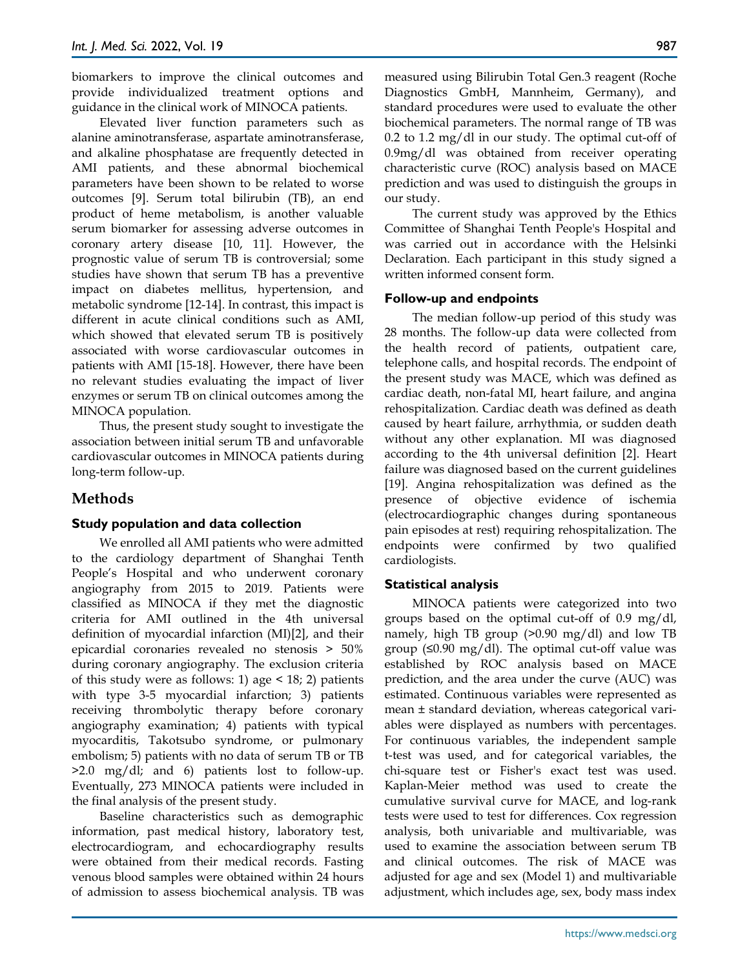biomarkers to improve the clinical outcomes and provide individualized treatment options and guidance in the clinical work of MINOCA patients.

Elevated liver function parameters such as alanine aminotransferase, aspartate aminotransferase, and alkaline phosphatase are frequently detected in AMI patients, and these abnormal biochemical parameters have been shown to be related to worse outcomes [9]. Serum total bilirubin (TB), an end product of heme metabolism, is another valuable serum biomarker for assessing adverse outcomes in coronary artery disease [10, 11]. However, the prognostic value of serum TB is controversial; some studies have shown that serum TB has a preventive impact on diabetes mellitus, hypertension, and metabolic syndrome [12-14]. In contrast, this impact is different in acute clinical conditions such as AMI, which showed that elevated serum TB is positively associated with worse cardiovascular outcomes in patients with AMI [15-18]. However, there have been no relevant studies evaluating the impact of liver enzymes or serum TB on clinical outcomes among the MINOCA population.

Thus, the present study sought to investigate the association between initial serum TB and unfavorable cardiovascular outcomes in MINOCA patients during long-term follow-up.

## **Methods**

#### **Study population and data collection**

We enrolled all AMI patients who were admitted to the cardiology department of Shanghai Tenth People's Hospital and who underwent coronary angiography from 2015 to 2019. Patients were classified as MINOCA if they met the diagnostic criteria for AMI outlined in the 4th universal definition of myocardial infarction (MI)[2], and their epicardial coronaries revealed no stenosis > 50% during coronary angiography. The exclusion criteria of this study were as follows: 1) age  $\leq$  18; 2) patients with type 3-5 myocardial infarction; 3) patients receiving thrombolytic therapy before coronary angiography examination; 4) patients with typical myocarditis, Takotsubo syndrome, or pulmonary embolism; 5) patients with no data of serum TB or TB >2.0 mg/dl; and 6) patients lost to follow-up. Eventually, 273 MINOCA patients were included in the final analysis of the present study.

Baseline characteristics such as demographic information, past medical history, laboratory test, electrocardiogram, and echocardiography results were obtained from their medical records. Fasting venous blood samples were obtained within 24 hours of admission to assess biochemical analysis. TB was

measured using Bilirubin Total Gen.3 reagent (Roche Diagnostics GmbH, Mannheim, Germany), and standard procedures were used to evaluate the other biochemical parameters. The normal range of TB was 0.2 to 1.2 mg/dl in our study. The optimal cut-off of 0.9mg/dl was obtained from receiver operating characteristic curve (ROC) analysis based on MACE prediction and was used to distinguish the groups in our study.

The current study was approved by the Ethics Committee of Shanghai Tenth People's Hospital and was carried out in accordance with the Helsinki Declaration. Each participant in this study signed a written informed consent form.

#### **Follow-up and endpoints**

The median follow-up period of this study was 28 months. The follow-up data were collected from the health record of patients, outpatient care, telephone calls, and hospital records. The endpoint of the present study was MACE, which was defined as cardiac death, non-fatal MI, heart failure, and angina rehospitalization. Cardiac death was defined as death caused by heart failure, arrhythmia, or sudden death without any other explanation. MI was diagnosed according to the 4th universal definition [2]. Heart failure was diagnosed based on the current guidelines [19]. Angina rehospitalization was defined as the presence of objective evidence of ischemia (electrocardiographic changes during spontaneous pain episodes at rest) requiring rehospitalization. The endpoints were confirmed by two qualified cardiologists.

#### **Statistical analysis**

MINOCA patients were categorized into two groups based on the optimal cut-off of 0.9 mg/dl, namely, high TB group (>0.90 mg/dl) and low TB group (≤0.90 mg/dl). The optimal cut-off value was established by ROC analysis based on MACE prediction, and the area under the curve (AUC) was estimated. Continuous variables were represented as mean ± standard deviation, whereas categorical variables were displayed as numbers with percentages. For continuous variables, the independent sample t-test was used, and for categorical variables, the chi-square test or Fisher's exact test was used. Kaplan-Meier method was used to create the cumulative survival curve for MACE, and log-rank tests were used to test for differences. Cox regression analysis, both univariable and multivariable, was used to examine the association between serum TB and clinical outcomes. The risk of MACE was adjusted for age and sex (Model 1) and multivariable adjustment, which includes age, sex, body mass index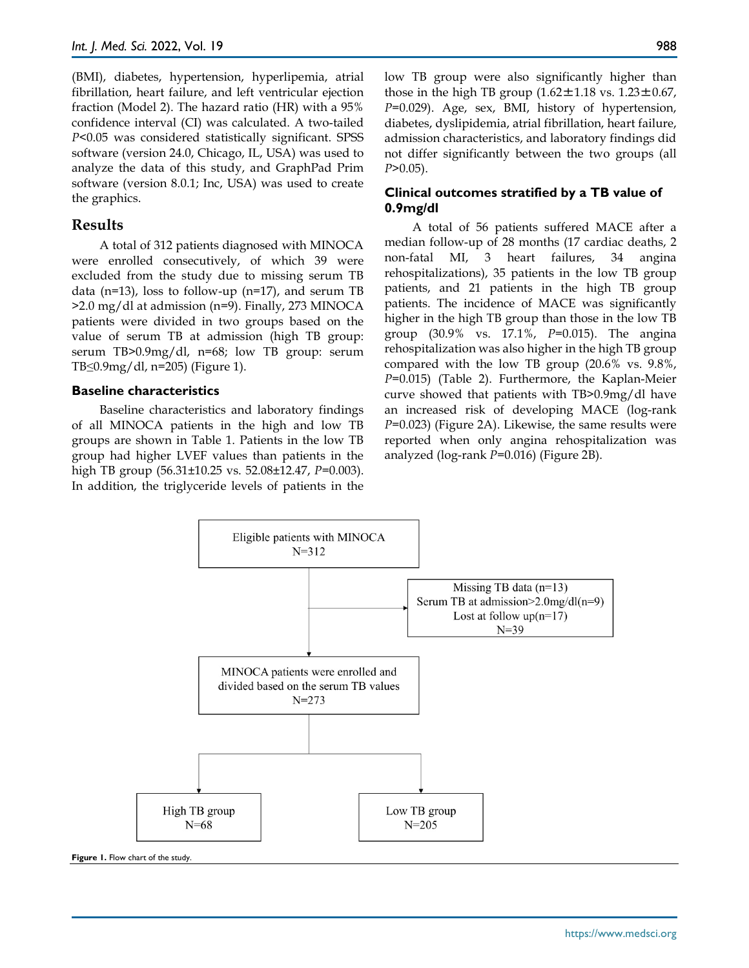(BMI), diabetes, hypertension, hyperlipemia, atrial fibrillation, heart failure, and left ventricular ejection fraction (Model 2). The hazard ratio (HR) with a 95% confidence interval (CI) was calculated. A two-tailed *P*<0.05 was considered statistically significant. SPSS software (version 24.0, Chicago, IL, USA) was used to analyze the data of this study, and GraphPad Prim software (version 8.0.1; Inc, USA) was used to create the graphics.

#### **Results**

A total of 312 patients diagnosed with MINOCA were enrolled consecutively, of which 39 were excluded from the study due to missing serum TB data (n=13), loss to follow-up (n=17), and serum TB >2.0 mg/dl at admission (n=9). Finally, 273 MINOCA patients were divided in two groups based on the value of serum TB at admission (high TB group: serum TB>0.9mg/dl, n=68; low TB group: serum TB≤0.9mg/dl, n=205) (Figure 1).

#### **Baseline characteristics**

Baseline characteristics and laboratory findings of all MINOCA patients in the high and low TB groups are shown in Table 1. Patients in the low TB group had higher LVEF values than patients in the high TB group (56.31±10.25 vs. 52.08±12.47, *P*=0.003). In addition, the triglyceride levels of patients in the low TB group were also significantly higher than those in the high TB group  $(1.62 \pm 1.18 \text{ vs. } 1.23 \pm 0.67)$ , *P*=0.029). Age, sex, BMI, history of hypertension, diabetes, dyslipidemia, atrial fibrillation, heart failure, admission characteristics, and laboratory findings did not differ significantly between the two groups (all *P*>0.05).

## **Clinical outcomes stratified by a TB value of 0.9mg/dl**

A total of 56 patients suffered MACE after a median follow-up of 28 months (17 cardiac deaths, 2 non-fatal MI, 3 heart failures, 34 angina rehospitalizations), 35 patients in the low TB group patients, and 21 patients in the high TB group patients. The incidence of MACE was significantly higher in the high TB group than those in the low TB group (30.9% vs. 17.1%, *P*=0.015). The angina rehospitalization was also higher in the high TB group compared with the low TB group (20.6% vs. 9.8%, *P*=0.015) (Table 2). Furthermore, the Kaplan-Meier curve showed that patients with TB>0.9mg/dl have an increased risk of developing MACE (log-rank *P*=0.023) (Figure 2A). Likewise, the same results were reported when only angina rehospitalization was analyzed (log-rank *P*=0.016) (Figure 2B).



**Figure 1.** Flow chart of the study.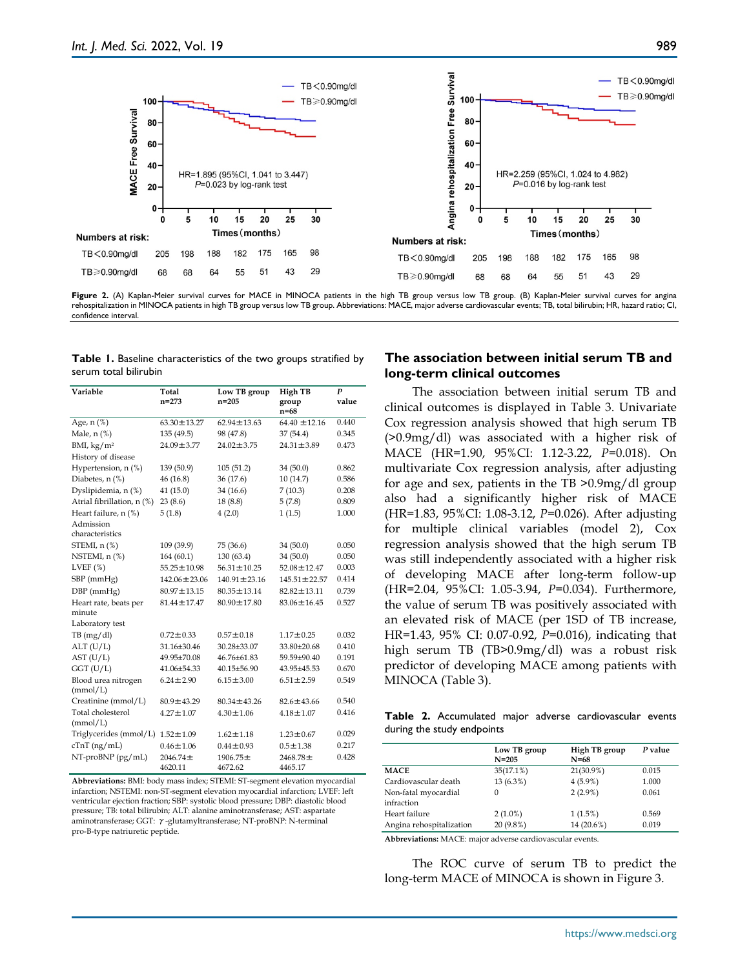

Figure 2. (A) Kaplan-Meier survival curves for MACE in MINOCA patients in the high TB group versus low TB group. (B) Kaplan-Meier survival curves for angina rehospitalization in MINOCA patients in high TB group versus low TB group. Abbreviations: MACE, major adverse cardiovascular events; TB, total bilirubin; HR, hazard ratio; CI, confidence interval.

**Table 1.** Baseline characteristics of the two groups stratified by serum total bilirubin

| Variable                        | Total                   | Low TB group       | High TB            | P     |
|---------------------------------|-------------------------|--------------------|--------------------|-------|
|                                 | $n = 273$               | n=205              | group<br>$n = 68$  | value |
| Age, $n$ $(\%)$                 | $63.30 \pm 13.27$       | $62.94 \pm 13.63$  | $64.40 \pm 12.16$  | 0.440 |
| Male, $n$ $%$                   | 135 (49.5)              | 98 (47.8)          | 37 (54.4)          | 0.345 |
| BMI, $\text{kg}/\text{m}^2$     | $24.09 \pm 3.77$        | $24.02 \pm 3.75$   | $24.31 \pm 3.89$   | 0.473 |
| History of disease              |                         |                    |                    |       |
| Hypertension, n (%)             | 139 (50.9)<br>105(51.2) |                    | 34 (50.0)          | 0.862 |
| Diabetes, n (%)                 | 46 (16.8)               | 36 (17.6)          | 10(14.7)           | 0.586 |
| Dyslipidemia, n (%)             | 41 (15.0)               | 34 (16.6)          | 7(10.3)            | 0.208 |
| Atrial fibrillation, n (%)      | 23(8.6)                 | 18(8.8)            | 5(7.8)             | 0.809 |
| Heart failure, n (%)            | 5(1.8)                  | 4(2.0)             | 1(1.5)             | 1.000 |
| Admission                       |                         |                    |                    |       |
| characteristics                 |                         |                    |                    |       |
| $STEMI$ , n $(\%)$              | 109 (39.9)              | 75 (36.6)          | 34 (50.0)          | 0.050 |
| NSTEMI, $n$ $%$                 | 164(60.1)               | 130(63.4)          | 34 (50.0)          | 0.050 |
| LVEF $(\%)$                     | $55.25 \pm 10.98$       | $56.31 \pm 10.25$  | $52.08 \pm 12.47$  | 0.003 |
| SBP (mmHg)                      | $142.06 \pm 23.06$      | $140.91 \pm 23.16$ | $145.51 \pm 22.57$ | 0.414 |
| $DBP$ (mm $Hg$ )                | $80.97 \pm 13.15$       | $80.35 \pm 13.14$  | $82.82 \pm 13.11$  | 0.739 |
| Heart rate, beats per<br>minute | $81.44 \pm 17.47$       | $80.90 \pm 17.80$  | $83.06 \pm 16.45$  | 0.527 |
| Laboratory test                 |                         |                    |                    |       |
| TB(mg/dl)                       | $0.72 \pm 0.33$         | $0.57 \pm 0.18$    | $1.17 \pm 0.25$    | 0.032 |
| ALT (U/L)                       | 31.16±30.46             | 30.28±33.07        | 33.80±20.68        | 0.410 |
| AST (U/L)                       | 49.95±70.08             | 46.76±61.83        | 59.59±90.40        | 0.191 |
| $GGT$ ( $U/L$ )                 | 41.06±54.33             | 40.15±56.90        | 43.95±45.53        | 0.670 |
| Blood urea nitrogen<br>(mmol/L) | $6.24 \pm 2.90$         | $6.15 \pm 3.00$    | $6.51 \pm 2.59$    | 0.549 |
| Creatinine (mmol/L)             | $80.9 \pm 43.29$        | $80.34 \pm 43.26$  | $82.6 \pm 43.66$   | 0.540 |
| Total cholesterol<br>(mmol/L)   | $4.27 \pm 1.07$         | $4.30 \pm 1.06$    | $4.18 \pm 1.07$    | 0.416 |
| Triglycerides (mmol/L)          | $1.52 \pm 1.09$         | $1.62 \pm 1.18$    | $1.23 \pm 0.67$    | 0.029 |
| $cTnT$ (ng/mL)                  | $0.46 \pm 1.06$         | $0.44 \pm 0.93$    | $0.5 \pm 1.38$     | 0.217 |
| $NT-proBNP$ (pg/mL)             | $2046.74 \pm$           | $1906.75 \pm$      | $2468.78 \pm$      | 0.428 |
|                                 | 4620.11                 | 4672.62            | 4465.17            |       |

**Abbreviations:** BMI: body mass index; STEMI: ST-segment elevation myocardial infarction; NSTEMI: non-ST-segment elevation myocardial infarction; LVEF: left ventricular ejection fraction; SBP: systolic blood pressure; DBP: diastolic blood pressure; TB: total bilirubin; ALT: alanine aminotransferase; AST: aspartate aminotransferase; GGT: γ-glutamyltransferase; NT-proBNP: N-terminal pro-B-type natriuretic peptide.

## **The association between initial serum TB and long-term clinical outcomes**

The association between initial serum TB and clinical outcomes is displayed in Table 3. Univariate Cox regression analysis showed that high serum TB (>0.9mg/dl) was associated with a higher risk of MACE (HR=1.90, 95%CI: 1.12-3.22, *P*=0.018). On multivariate Cox regression analysis, after adjusting for age and sex, patients in the TB >0.9mg/dl group also had a significantly higher risk of MACE (HR=1.83, 95%CI: 1.08-3.12, *P*=0.026). After adjusting for multiple clinical variables (model 2), Cox regression analysis showed that the high serum TB was still independently associated with a higher risk of developing MACE after long-term follow-up (HR=2.04, 95%CI: 1.05-3.94, *P*=0.034). Furthermore, the value of serum TB was positively associated with an elevated risk of MACE (per 1SD of TB increase, HR=1.43, 95% CI: 0.07-0.92, *P*=0.016), indicating that high serum TB (TB>0.9mg/dl) was a robust risk predictor of developing MACE among patients with MINOCA (Table 3).

|  |                            |  | Table 2. Accumulated major adverse cardiovascular events |  |
|--|----------------------------|--|----------------------------------------------------------|--|
|  | during the study endpoints |  |                                                          |  |

|                                    | Low TB group<br>$N = 205$ | High TB group<br>N=68 | P value |
|------------------------------------|---------------------------|-----------------------|---------|
| <b>MACE</b>                        | 35(17.1%)                 | 21(30.9%)             | 0.015   |
| Cardiovascular death               | 13 (6.3%)                 | $4(5.9\%)$            | 1.000   |
| Non-fatal myocardial<br>infraction | 0                         | $2(2.9\%)$            | 0.061   |
| Heart failure                      | $2(1.0\%)$                | 1(1.5%)               | 0.569   |
| Angina rehospitalization           | 20 (9.8%)                 | 14 (20.6%)            | 0.019   |
|                                    | $\sim$                    |                       |         |

**Abbreviations:** MACE: major adverse cardiovascular events.

The ROC curve of serum TB to predict the long-term MACE of MINOCA is shown in Figure 3.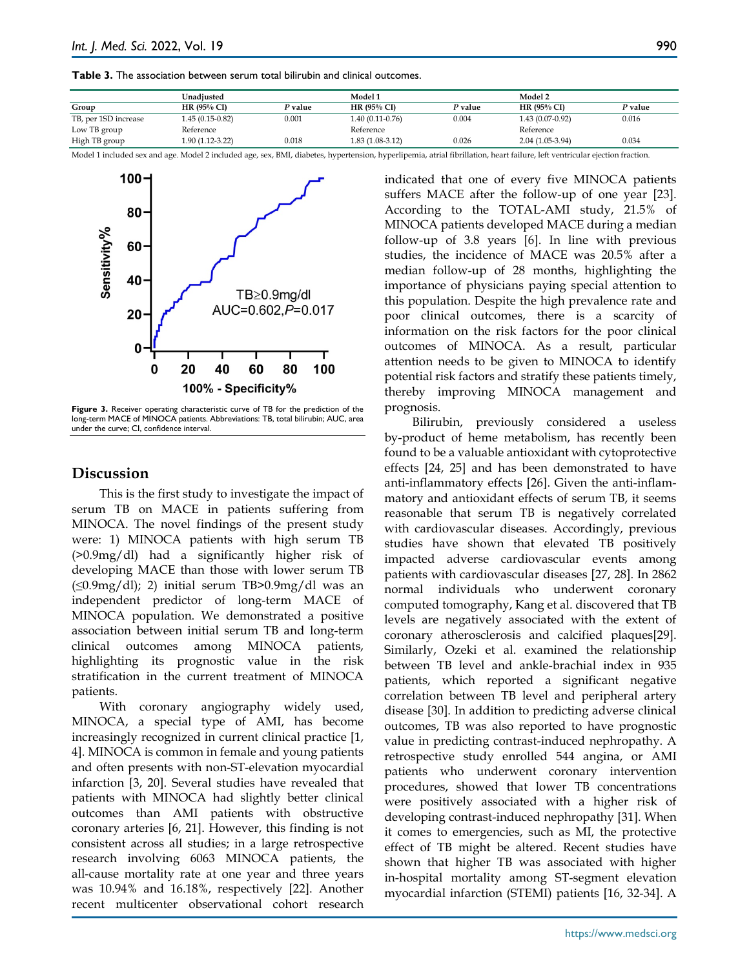| <b>Table 3.</b> The association between serum total bilirubin and clinical outcomes. |  |  |  |  |  |  |  |  |  |
|--------------------------------------------------------------------------------------|--|--|--|--|--|--|--|--|--|
|--------------------------------------------------------------------------------------|--|--|--|--|--|--|--|--|--|

|                      | Unadiusted        |         | Model 1          |         | Model 2           |         |
|----------------------|-------------------|---------|------------------|---------|-------------------|---------|
| Group                | HR $(95\%$ CI)    | P value | HR $(95\%$ CI)   | P value | HR(95% CI)        | P value |
| TB, per 1SD increase | $1.45(0.15-0.82)$ | 0.001   | 1.40 (0.11-0.76) | 0.004   | $1.43(0.07-0.92)$ | 0.016   |
| Low TB group         | Reference         |         | Reference        |         | Reference         |         |
| High TB group        | $1.90(1.12-3.22)$ | 0.018   | 1.83 (1.08-3.12) | 0.026   | $2.04(1.05-3.94)$ | 0.034   |

Model 1 included sex and age. Model 2 included age, sex, BMI, diabetes, hypertension, hyperlipemia, atrial fibrillation, heart failure, left ventricular ejection fraction.



**Figure 3.** Receiver operating characteristic curve of TB for the prediction of the long-term MACE of MINOCA patients. Abbreviations: TB, total bilirubin; AUC, area under the curve; CI, confidence interval.

#### **Discussion**

This is the first study to investigate the impact of serum TB on MACE in patients suffering from MINOCA. The novel findings of the present study were: 1) MINOCA patients with high serum TB (>0.9mg/dl) had a significantly higher risk of developing MACE than those with lower serum TB  $(\leq 0.9 \text{mg/dl})$ ; 2) initial serum TB>0.9mg/dl was an independent predictor of long-term MACE of MINOCA population. We demonstrated a positive association between initial serum TB and long-term clinical outcomes among MINOCA patients, highlighting its prognostic value in the risk stratification in the current treatment of MINOCA patients.

With coronary angiography widely used, MINOCA, a special type of AMI, has become increasingly recognized in current clinical practice [1, 4]. MINOCA is common in female and young patients and often presents with non-ST-elevation myocardial infarction [3, 20]. Several studies have revealed that patients with MINOCA had slightly better clinical outcomes than AMI patients with obstructive coronary arteries [6, 21]. However, this finding is not consistent across all studies; in a large retrospective research involving 6063 MINOCA patients, the all-cause mortality rate at one year and three years was 10.94% and 16.18%, respectively [22]. Another recent multicenter observational cohort research

indicated that one of every five MINOCA patients suffers MACE after the follow-up of one year [23]. According to the TOTAL-AMI study, 21.5% of MINOCA patients developed MACE during a median follow-up of 3.8 years [6]. In line with previous studies, the incidence of MACE was 20.5% after a median follow-up of 28 months, highlighting the importance of physicians paying special attention to this population. Despite the high prevalence rate and poor clinical outcomes, there is a scarcity of information on the risk factors for the poor clinical outcomes of MINOCA. As a result, particular attention needs to be given to MINOCA to identify potential risk factors and stratify these patients timely, thereby improving MINOCA management and prognosis.

Bilirubin, previously considered a useless by-product of heme metabolism, has recently been found to be a valuable antioxidant with cytoprotective effects [24, 25] and has been demonstrated to have anti-inflammatory effects [26]. Given the anti-inflammatory and antioxidant effects of serum TB, it seems reasonable that serum TB is negatively correlated with cardiovascular diseases. Accordingly, previous studies have shown that elevated TB positively impacted adverse cardiovascular events among patients with cardiovascular diseases [27, 28]. In 2862 normal individuals who underwent coronary computed tomography, Kang et al. discovered that TB levels are negatively associated with the extent of coronary atherosclerosis and calcified plaques[29]. Similarly, Ozeki et al. examined the relationship between TB level and ankle-brachial index in 935 patients, which reported a significant negative correlation between TB level and peripheral artery disease [30]. In addition to predicting adverse clinical outcomes, TB was also reported to have prognostic value in predicting contrast-induced nephropathy. A retrospective study enrolled 544 angina, or AMI patients who underwent coronary intervention procedures, showed that lower TB concentrations were positively associated with a higher risk of developing contrast-induced nephropathy [31]. When it comes to emergencies, such as MI, the protective effect of TB might be altered. Recent studies have shown that higher TB was associated with higher in-hospital mortality among ST-segment elevation myocardial infarction (STEMI) patients [16, 32-34]. A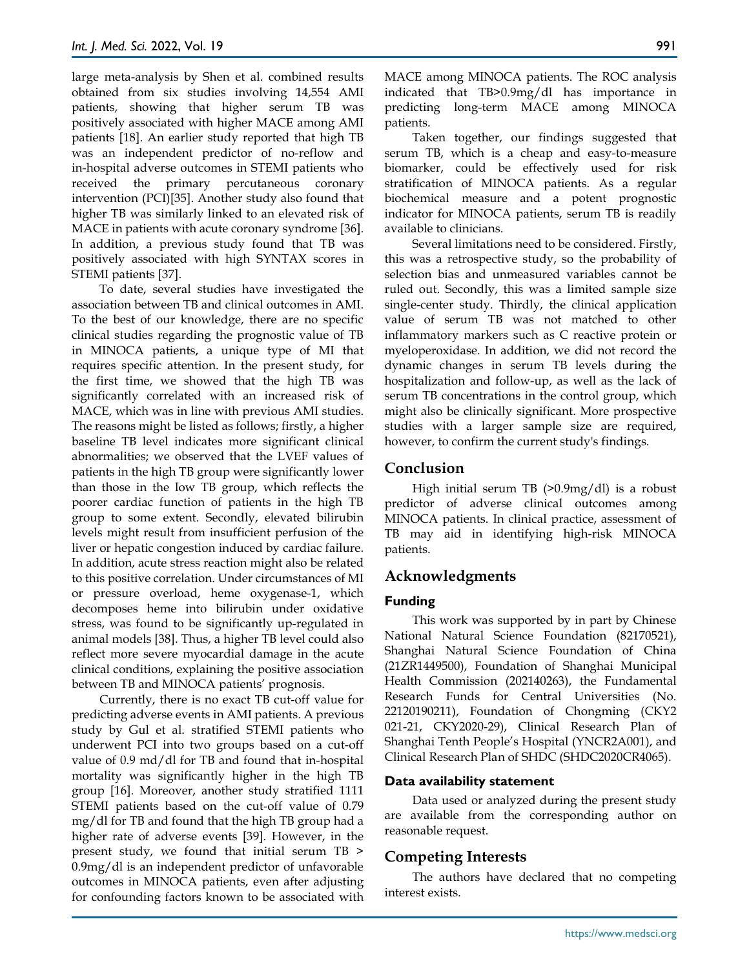large meta-analysis by Shen et al. combined results obtained from six studies involving 14,554 AMI patients, showing that higher serum TB was positively associated with higher MACE among AMI patients [18]. An earlier study reported that high TB was an independent predictor of no-reflow and in-hospital adverse outcomes in STEMI patients who received the primary percutaneous coronary intervention (PCI)[35]. Another study also found that higher TB was similarly linked to an elevated risk of MACE in patients with acute coronary syndrome [36]. In addition, a previous study found that TB was positively associated with high SYNTAX scores in STEMI patients [37].

To date, several studies have investigated the association between TB and clinical outcomes in AMI. To the best of our knowledge, there are no specific clinical studies regarding the prognostic value of TB in MINOCA patients, a unique type of MI that requires specific attention. In the present study, for the first time, we showed that the high TB was significantly correlated with an increased risk of MACE, which was in line with previous AMI studies. The reasons might be listed as follows; firstly, a higher baseline TB level indicates more significant clinical abnormalities; we observed that the LVEF values of patients in the high TB group were significantly lower than those in the low TB group, which reflects the poorer cardiac function of patients in the high TB group to some extent. Secondly, elevated bilirubin levels might result from insufficient perfusion of the liver or hepatic congestion induced by cardiac failure. In addition, acute stress reaction might also be related to this positive correlation. Under circumstances of MI or pressure overload, heme oxygenase-1, which decomposes heme into bilirubin under oxidative stress, was found to be significantly up-regulated in animal models [38]. Thus, a higher TB level could also reflect more severe myocardial damage in the acute clinical conditions, explaining the positive association between TB and MINOCA patients' prognosis.

Currently, there is no exact TB cut-off value for predicting adverse events in AMI patients. A previous study by Gul et al. stratified STEMI patients who underwent PCI into two groups based on a cut-off value of 0.9 md/dl for TB and found that in-hospital mortality was significantly higher in the high TB group [16]. Moreover, another study stratified 1111 STEMI patients based on the cut-off value of 0.79 mg/dl for TB and found that the high TB group had a higher rate of adverse events [39]. However, in the present study, we found that initial serum TB > 0.9mg/dl is an independent predictor of unfavorable outcomes in MINOCA patients, even after adjusting for confounding factors known to be associated with

MACE among MINOCA patients. The ROC analysis indicated that TB>0.9mg/dl has importance in predicting long-term MACE among MINOCA patients.

Taken together, our findings suggested that serum TB, which is a cheap and easy-to-measure biomarker, could be effectively used for risk stratification of MINOCA patients. As a regular biochemical measure and a potent prognostic indicator for MINOCA patients, serum TB is readily available to clinicians.

Several limitations need to be considered. Firstly, this was a retrospective study, so the probability of selection bias and unmeasured variables cannot be ruled out. Secondly, this was a limited sample size single-center study. Thirdly, the clinical application value of serum TB was not matched to other inflammatory markers such as C reactive protein or myeloperoxidase. In addition, we did not record the dynamic changes in serum TB levels during the hospitalization and follow-up, as well as the lack of serum TB concentrations in the control group, which might also be clinically significant. More prospective studies with a larger sample size are required, however, to confirm the current study's findings.

## **Conclusion**

High initial serum TB (>0.9mg/dl) is a robust predictor of adverse clinical outcomes among MINOCA patients. In clinical practice, assessment of TB may aid in identifying high-risk MINOCA patients.

# **Acknowledgments**

## **Funding**

This work was supported by in part by Chinese National Natural Science Foundation (82170521), Shanghai Natural Science Foundation of China (21ZR1449500), Foundation of Shanghai Municipal Health Commission (202140263), the Fundamental Research Funds for Central Universities (No. 22120190211), Foundation of Chongming (CKY2 021-21, CKY2020-29), Clinical Research Plan of Shanghai Tenth People's Hospital (YNCR2A001), and Clinical Research Plan of SHDC (SHDC2020CR4065).

## **Data availability statement**

Data used or analyzed during the present study are available from the corresponding author on reasonable request.

# **Competing Interests**

The authors have declared that no competing interest exists.